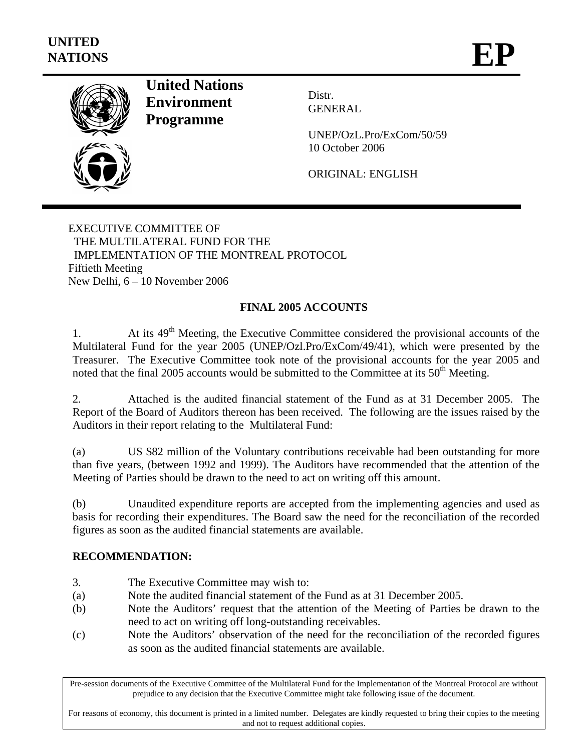

**United Nations Environment Programme** 

Distr. GENERAL

UNEP/OzL.Pro/ExCom/50/59 10 October 2006

ORIGINAL: ENGLISH

EXECUTIVE COMMITTEE OF THE MULTILATERAL FUND FOR THE IMPLEMENTATION OF THE MONTREAL PROTOCOL Fiftieth Meeting New Delhi, 6 – 10 November 2006

## **FINAL 2005 ACCOUNTS**

1. At its 49<sup>th</sup> Meeting, the Executive Committee considered the provisional accounts of the Multilateral Fund for the year 2005 (UNEP/Ozl.Pro/ExCom/49/41), which were presented by the Treasurer. The Executive Committee took note of the provisional accounts for the year 2005 and noted that the final 2005 accounts would be submitted to the Committee at its  $50<sup>th</sup>$  Meeting.

2. Attached is the audited financial statement of the Fund as at 31 December 2005. The Report of the Board of Auditors thereon has been received. The following are the issues raised by the Auditors in their report relating to the Multilateral Fund:

(a) US \$82 million of the Voluntary contributions receivable had been outstanding for more than five years, (between 1992 and 1999). The Auditors have recommended that the attention of the Meeting of Parties should be drawn to the need to act on writing off this amount.

(b) Unaudited expenditure reports are accepted from the implementing agencies and used as basis for recording their expenditures. The Board saw the need for the reconciliation of the recorded figures as soon as the audited financial statements are available.

## **RECOMMENDATION:**

- 3. The Executive Committee may wish to:
- (a) Note the audited financial statement of the Fund as at 31 December 2005.
- (b) Note the Auditors' request that the attention of the Meeting of Parties be drawn to the need to act on writing off long-outstanding receivables.
- (c) Note the Auditors' observation of the need for the reconciliation of the recorded figures as soon as the audited financial statements are available.

Pre-session documents of the Executive Committee of the Multilateral Fund for the Implementation of the Montreal Protocol are without prejudice to any decision that the Executive Committee might take following issue of the document.

For reasons of economy, this document is printed in a limited number. Delegates are kindly requested to bring their copies to the meeting and not to request additional copies.